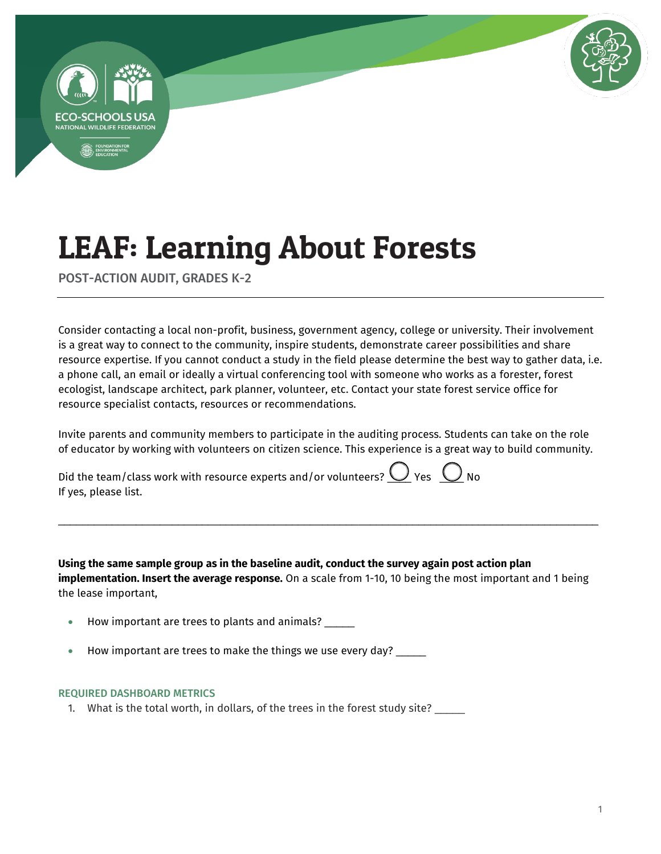



POST-ACTION AUDIT, GRADES K-2

Consider contacting a local non-profit, business, government agency, college or university. Their involvement is a great way to connect to the community, inspire students, demonstrate career possibilities and share resource expertise. If you cannot conduct a study in the field please determine the best way to gather data, i.e. a phone call, an email or ideally a virtual conferencing tool with someone who works as a forester, forest ecologist, landscape architect, park planner, volunteer, etc. Contact your state forest service office for resource specialist contacts, resources or recommendations.

Invite parents and community members to participate in the auditing process. Students can take on the role of educator by working with volunteers on citizen science. This experience is a great way to build community.

Did the team/class work with resource experts and/or volunteers?  $Q$  Yes  $Q$  No If yes, please list.

**Using the same sample group as in the baseline audit, conduct the survey again post action plan implementation. Insert the average response.** On a scale from 1-10, 10 being the most important and 1 being the lease important,

\_\_\_\_\_\_\_\_\_\_\_\_\_\_\_\_\_\_\_\_\_\_\_\_\_\_\_\_\_\_\_\_\_\_\_\_\_\_\_\_\_\_\_\_\_\_\_\_\_\_\_\_\_\_\_\_\_\_\_\_\_\_\_\_\_\_\_\_\_\_\_\_\_\_\_\_\_\_\_\_\_\_\_\_\_\_\_\_\_\_

- How important are trees to plants and animals? \_\_\_\_\_
- $\bullet$  How important are trees to make the things we use every day?  $\_\_$

#### REQUIRED DASHBOARD METRICS

1. What is the total worth, in dollars, of the trees in the forest study site?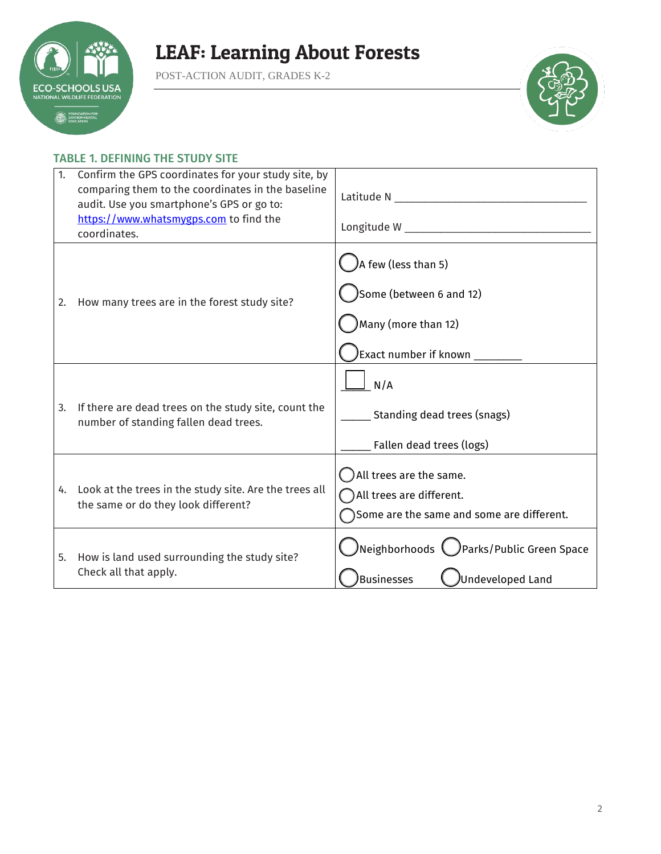

POST-ACTION AUDIT, GRADES K-2



### TABLE 1. DEFINING THE STUDY SITE

| 1. | Confirm the GPS coordinates for your study site, by<br>comparing them to the coordinates in the baseline<br>audit. Use you smartphone's GPS or go to:<br>https://www.whatsmygps.com to find the<br>coordinates. |                                                                                                      |
|----|-----------------------------------------------------------------------------------------------------------------------------------------------------------------------------------------------------------------|------------------------------------------------------------------------------------------------------|
| 2. | How many trees are in the forest study site?                                                                                                                                                                    | A few (less than 5)<br>Some (between 6 and 12)<br>Many (more than 12)<br>Exact number if known _____ |
| 3. | If there are dead trees on the study site, count the<br>number of standing fallen dead trees.                                                                                                                   | N/A<br>Standing dead trees (snags)<br>Fallen dead trees (logs)                                       |
|    | 4. Look at the trees in the study site. Are the trees all<br>the same or do they look different?                                                                                                                | All trees are the same.<br>All trees are different.<br>Some are the same and some are different.     |
|    | 5. How is land used surrounding the study site?<br>Check all that apply.                                                                                                                                        | $\bigcirc$ Neighborhoods $\bigcirc$ Parks/Public Green Space<br>Businesses<br>Undeveloped Land       |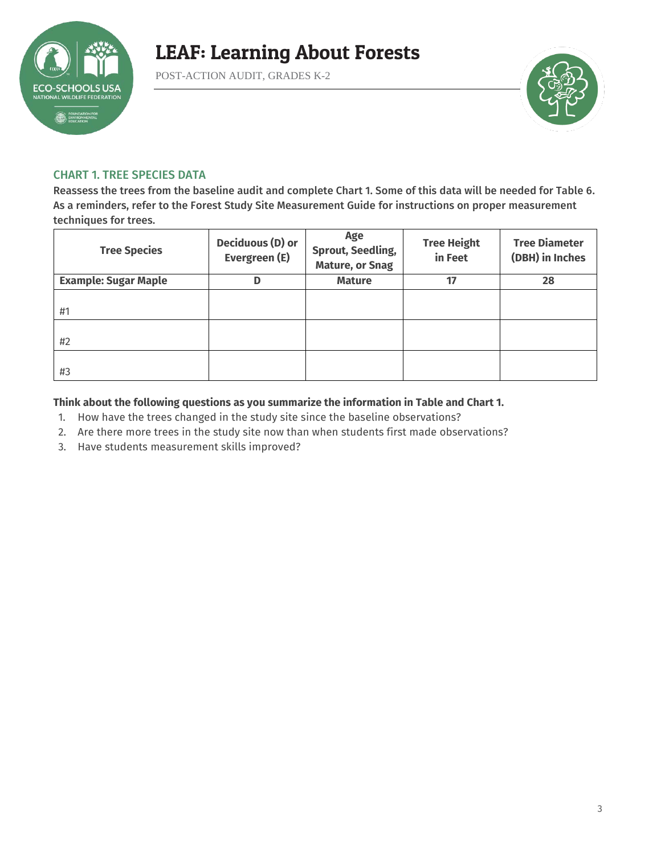

POST-ACTION AUDIT, GRADES K-2



#### CHART 1. TREE SPECIES DATA

Reassess the trees from the baseline audit and complete Chart 1. Some of this data will be needed for Table 6. As a reminders, refer to the Forest Study Site Measurement Guide for instructions on proper measurement techniques for trees.

| <b>Tree Species</b>         | Deciduous (D) or<br>Evergreen (E) | Age<br><b>Sprout, Seedling,</b><br><b>Mature, or Snag</b> | <b>Tree Height</b><br>in Feet | <b>Tree Diameter</b><br>(DBH) in Inches |
|-----------------------------|-----------------------------------|-----------------------------------------------------------|-------------------------------|-----------------------------------------|
| <b>Example: Sugar Maple</b> | D                                 | <b>Mature</b>                                             | 17                            | 28                                      |
| #1                          |                                   |                                                           |                               |                                         |
| #2                          |                                   |                                                           |                               |                                         |
| #3                          |                                   |                                                           |                               |                                         |

#### **Think about the following questions as you summarize the information in Table and Chart 1.**

- 1. How have the trees changed in the study site since the baseline observations?
- 2. Are there more trees in the study site now than when students first made observations?
- 3. Have students measurement skills improved?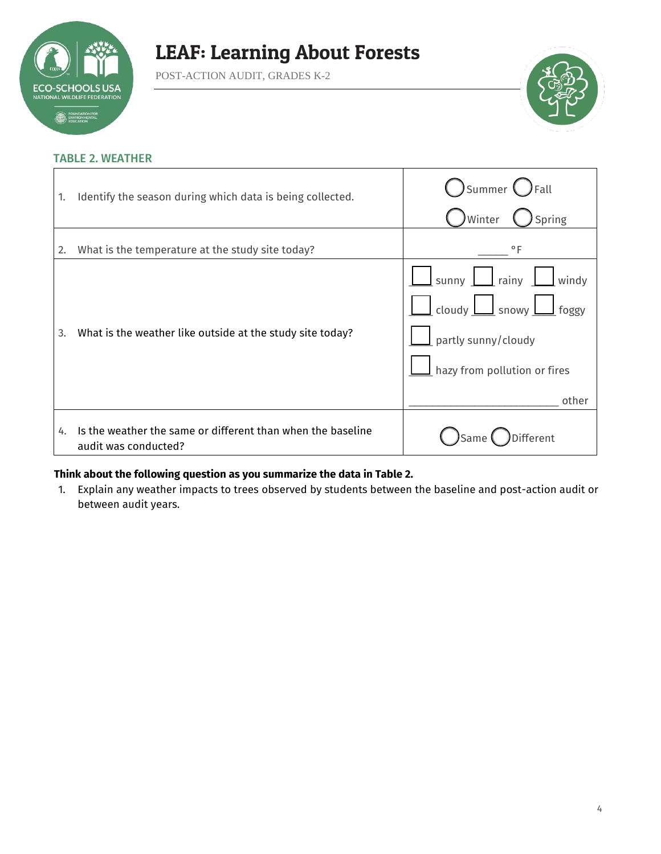

POST-ACTION AUDIT, GRADES K-2



#### TABLE 2. WEATHER

| 1. | Identify the season during which data is being collected.                           | $\mathsf{Summer} \big( \big)$<br>) Fall<br>Spring<br>Winter                                                                                       |
|----|-------------------------------------------------------------------------------------|---------------------------------------------------------------------------------------------------------------------------------------------------|
| 2. | What is the temperature at the study site today?                                    | $\circ$ F                                                                                                                                         |
| 3. | What is the weather like outside at the study site today?                           | $\Box$ sunny $\Box$ rainy $\Box$ windy<br>$\Box$ cloudy $\Box$ snowy $\Box$ foggy<br>partly sunny/cloudy<br>hazy from pollution or fires<br>other |
| 4. | Is the weather the same or different than when the baseline<br>audit was conducted? | Different<br>)Same                                                                                                                                |

#### **Think about the following question as you summarize the data in Table 2.**

1. Explain any weather impacts to trees observed by students between the baseline and post-action audit or between audit years.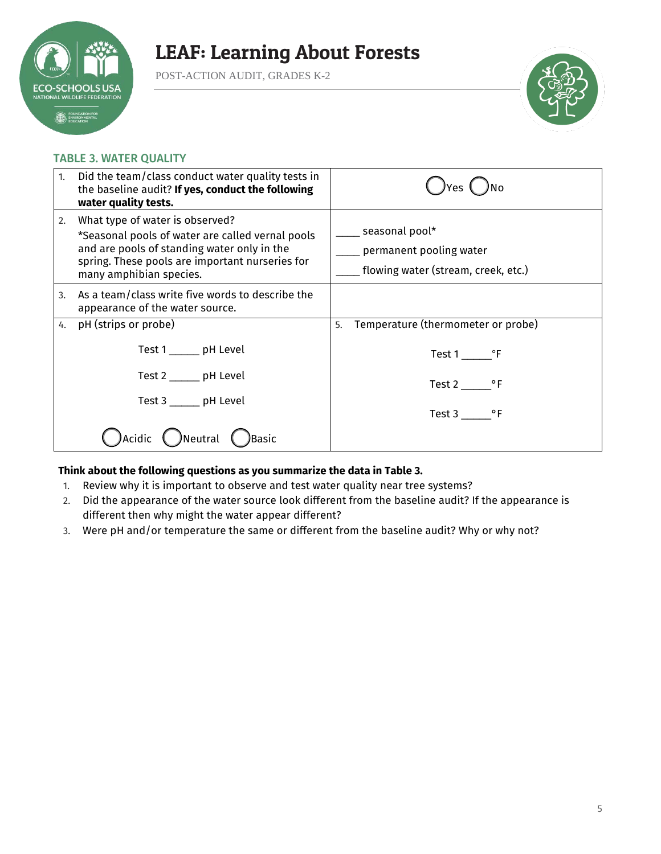

POST-ACTION AUDIT, GRADES K-2



#### TABLE 3. WATER QUALITY

| 1. | Did the team/class conduct water quality tests in<br>the baseline audit? If yes, conduct the following<br>water quality tests.                                                                                   |                                                                                  |
|----|------------------------------------------------------------------------------------------------------------------------------------------------------------------------------------------------------------------|----------------------------------------------------------------------------------|
| 2. | What type of water is observed?<br>*Seasonal pools of water are called vernal pools<br>and are pools of standing water only in the<br>spring. These pools are important nurseries for<br>many amphibian species. | seasonal pool*<br>permanent pooling water<br>flowing water (stream, creek, etc.) |
| 3. | As a team/class write five words to describe the<br>appearance of the water source.                                                                                                                              |                                                                                  |
| 4. | pH (strips or probe)                                                                                                                                                                                             | Temperature (thermometer or probe)<br>5.                                         |
|    | Test 1 ______ pH Level                                                                                                                                                                                           | Test 1 ºF                                                                        |
|    | Test 2 ______ pH Level                                                                                                                                                                                           | Test $2 \_\_\_$ °F                                                               |
|    | Test 3 _______ pH Level                                                                                                                                                                                          | Test 3 ºF                                                                        |
|    | )Neutral<br>)Basic<br>Acidic                                                                                                                                                                                     |                                                                                  |

### **Think about the following questions as you summarize the data in Table 3.**

- 1. Review why it is important to observe and test water quality near tree systems?
- 2. Did the appearance of the water source look different from the baseline audit? If the appearance is different then why might the water appear different?
- 3. Were pH and/or temperature the same or different from the baseline audit? Why or why not?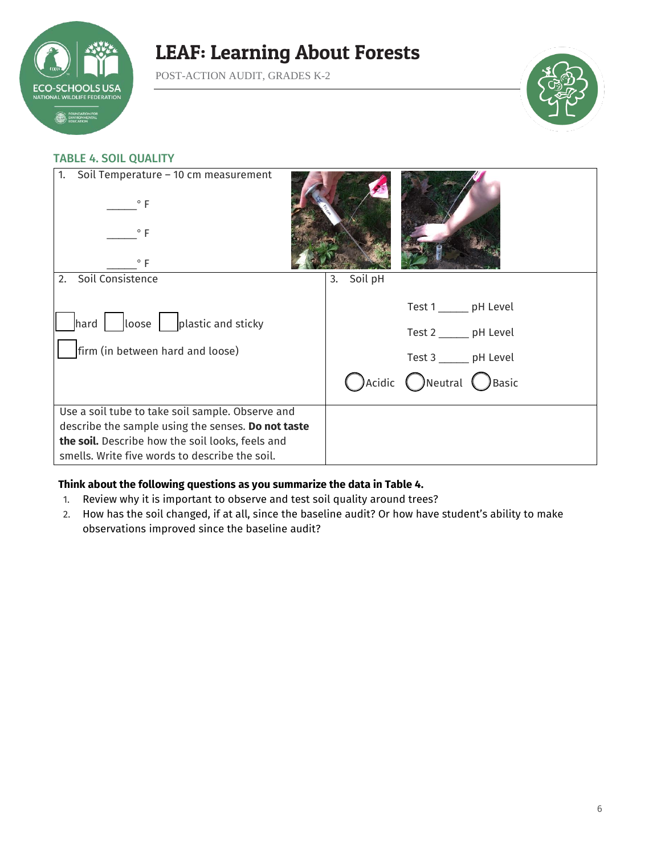

POST-ACTION AUDIT, GRADES K-2



### TABLE 4. SOIL QUALITY

| Soil Temperature - 10 cm measurement<br>1.<br>$\circ$ F<br>$^{\circ}$ F<br>$\circ$ F                                                                                                                         |               |                                                                                                                                    |
|--------------------------------------------------------------------------------------------------------------------------------------------------------------------------------------------------------------|---------------|------------------------------------------------------------------------------------------------------------------------------------|
| Soil Consistence<br>2.                                                                                                                                                                                       | Soil pH<br>3. |                                                                                                                                    |
| $\vert$ hard $\vert$ $\vert$ loose $\vert$ $\vert$ plastic and sticky<br>firm (in between hard and loose)                                                                                                    |               | Test 1 _______ pH Level<br>Test 2 _______ pH Level<br>Test 3 ______ pH Level<br>$\bigcap$ Acidic $\bigcap$ Neutral $\bigcap$ Basic |
| Use a soil tube to take soil sample. Observe and<br>describe the sample using the senses. Do not taste<br>the soil. Describe how the soil looks, feels and<br>smells. Write five words to describe the soil. |               |                                                                                                                                    |

### **Think about the following questions as you summarize the data in Table 4.**

- 1. Review why it is important to observe and test soil quality around trees?
- 2. How has the soil changed, if at all, since the baseline audit? Or how have student's ability to make observations improved since the baseline audit?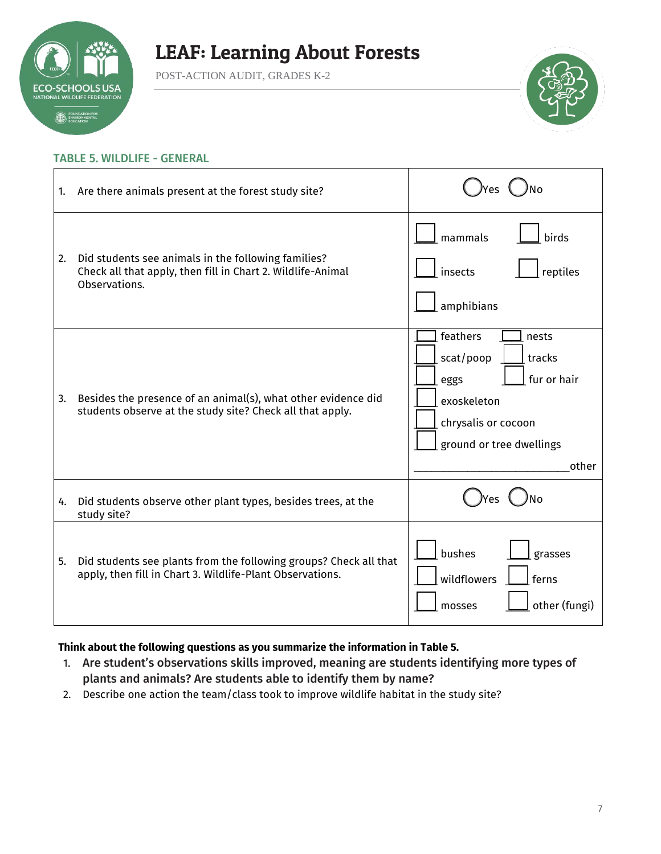

POST-ACTION AUDIT, GRADES K-2



#### TABLE 5. WILDLIFE - GENERAL

| 1. | Are there animals present at the forest study site?                                                                                 |                                                                                                                                            |
|----|-------------------------------------------------------------------------------------------------------------------------------------|--------------------------------------------------------------------------------------------------------------------------------------------|
| 2. | Did students see animals in the following families?<br>Check all that apply, then fill in Chart 2. Wildlife-Animal<br>Observations. | mammals<br>birds<br>insects<br>reptiles<br>amphibians                                                                                      |
| 3. | Besides the presence of an animal(s), what other evidence did<br>students observe at the study site? Check all that apply.          | feathers<br>nests<br>scat/poop<br>tracks<br>fur or hair<br>eggs<br>exoskeleton<br>chrysalis or cocoon<br>ground or tree dwellings<br>other |
| 4. | Did students observe other plant types, besides trees, at the<br>study site?                                                        |                                                                                                                                            |
| 5. | Did students see plants from the following groups? Check all that<br>apply, then fill in Chart 3. Wildlife-Plant Observations.      | bushes<br>grasses<br>wildflowers<br>ferns<br>other (fungi)<br>mosses                                                                       |

### **Think about the following questions as you summarize the information in Table 5.**

- 1. Are student's observations skills improved, meaning are students identifying more types of plants and animals? Are students able to identify them by name?
- 2. Describe one action the team/class took to improve wildlife habitat in the study site?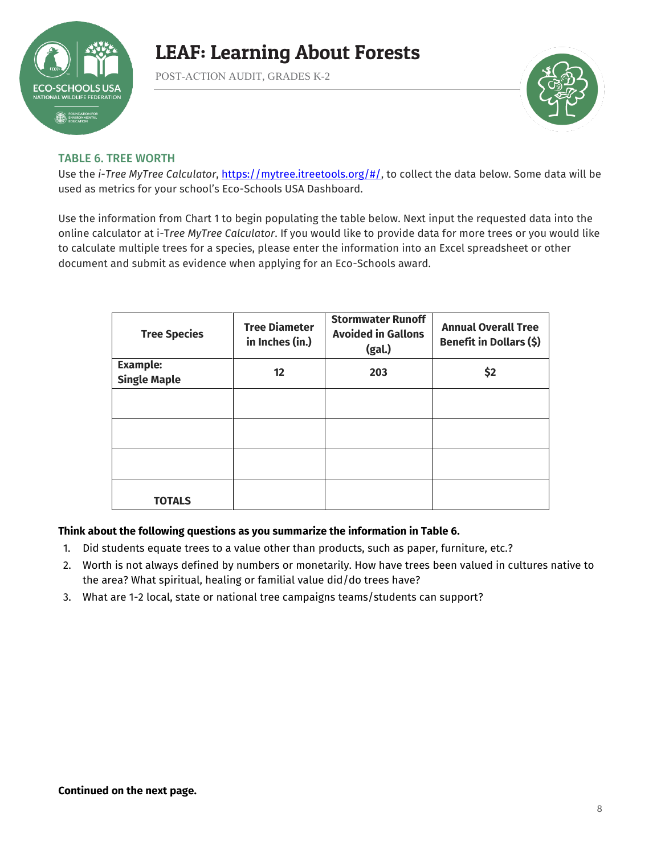

POST-ACTION AUDIT, GRADES K-2



### TABLE 6. TREE WORTH

Use the *i-Tree MyTree Calculator*, [https://mytree.itreetools.org/#/,](https://mytree.itreetools.org/#/) to collect the data below. Some data will be used as metrics for your school's Eco-Schools USA Dashboard.

Use the information from Chart 1 to begin populating the table below. Next input the requested data into the online calculator at i-T*ree MyTree Calculator*. If you would like to provide data for more trees or you would like to calculate multiple trees for a species, please enter the information into an Excel spreadsheet or other document and submit as evidence when applying for an Eco-Schools award.

| <b>Tree Species</b>                    | <b>Tree Diameter</b><br>in Inches (in.) | <b>Stormwater Runoff</b><br><b>Avoided in Gallons</b><br>(gal.) | <b>Annual Overall Tree</b><br>Benefit in Dollars (\$) |
|----------------------------------------|-----------------------------------------|-----------------------------------------------------------------|-------------------------------------------------------|
| <b>Example:</b><br><b>Single Maple</b> | $12 \overline{ }$                       | 203                                                             | \$2                                                   |
|                                        |                                         |                                                                 |                                                       |
|                                        |                                         |                                                                 |                                                       |
|                                        |                                         |                                                                 |                                                       |
|                                        |                                         |                                                                 |                                                       |
| <b>TOTALS</b>                          |                                         |                                                                 |                                                       |

### **Think about the following questions as you summarize the information in Table 6.**

- 1. Did students equate trees to a value other than products, such as paper, furniture, etc.?
- 2. Worth is not always defined by numbers or monetarily. How have trees been valued in cultures native to the area? What spiritual, healing or familial value did/do trees have?
- 3. What are 1-2 local, state or national tree campaigns teams/students can support?